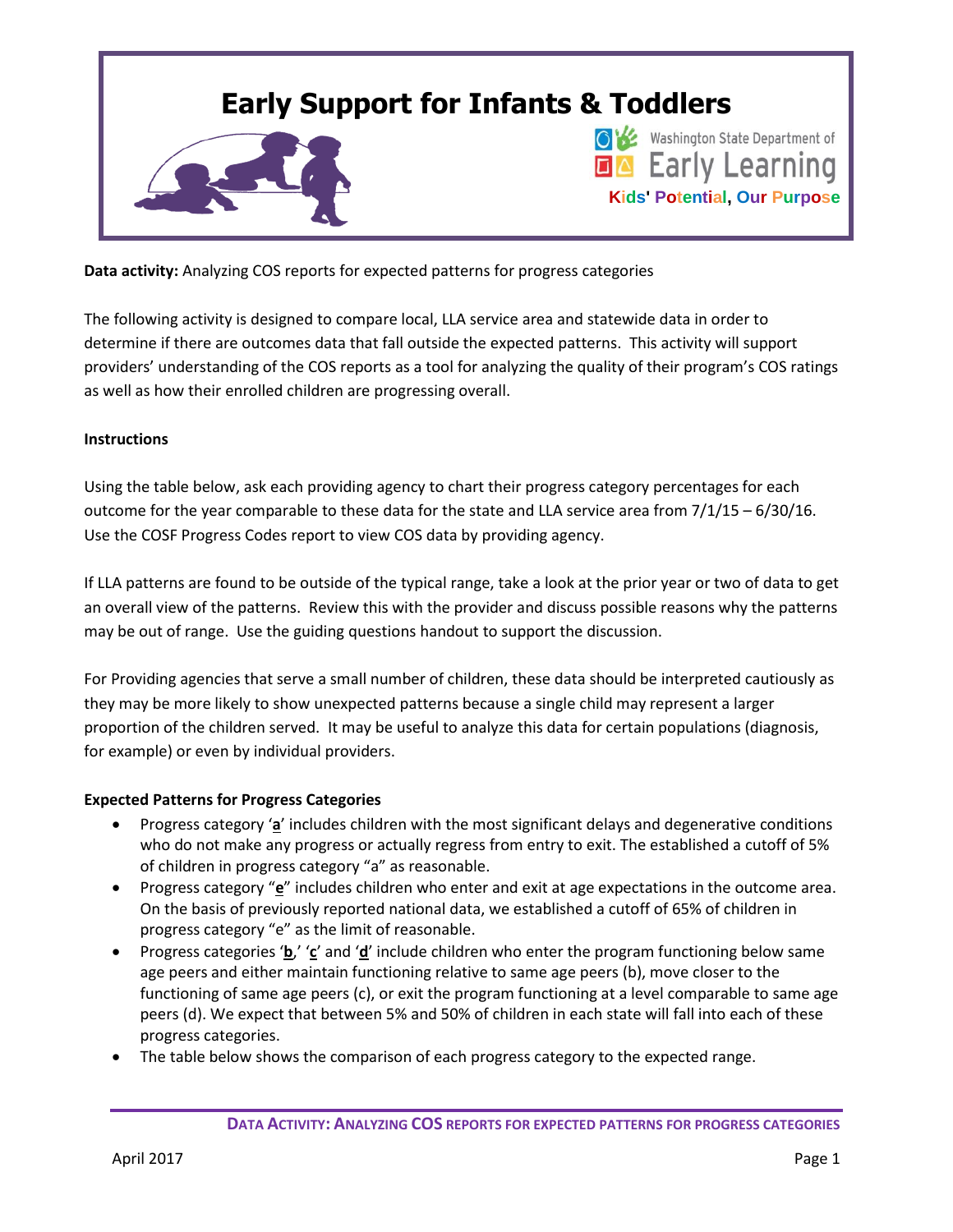

**Data activity:** Analyzing COS reports for expected patterns for progress categories

The following activity is designed to compare local, LLA service area and statewide data in order to determine if there are outcomes data that fall outside the expected patterns. This activity will support providers' understanding of the COS reports as a tool for analyzing the quality of their program's COS ratings as well as how their enrolled children are progressing overall.

## **Instructions**

Using the table below, ask each providing agency to chart their progress category percentages for each outcome for the year comparable to these data for the state and LLA service area from 7/1/15 – 6/30/16. Use the COSF Progress Codes report to view COS data by providing agency.

If LLA patterns are found to be outside of the typical range, take a look at the prior year or two of data to get an overall view of the patterns. Review this with the provider and discuss possible reasons why the patterns may be out of range. Use the guiding questions handout to support the discussion.

For Providing agencies that serve a small number of children, these data should be interpreted cautiously as they may be more likely to show unexpected patterns because a single child may represent a larger proportion of the children served. It may be useful to analyze this data for certain populations (diagnosis, for example) or even by individual providers.

## **Expected Patterns for Progress Categories**

- Progress category '**a**' includes children with the most significant delays and degenerative conditions who do not make any progress or actually regress from entry to exit. The established a cutoff of 5% of children in progress category "a" as reasonable.
- Progress category "**e**" includes children who enter and exit at age expectations in the outcome area. On the basis of previously reported national data, we established a cutoff of 65% of children in progress category "e" as the limit of reasonable.
- Progress categories '**b**,' '**c**' and '**d**' include children who enter the program functioning below same age peers and either maintain functioning relative to same age peers (b), move closer to the functioning of same age peers (c), or exit the program functioning at a level comparable to same age peers (d). We expect that between 5% and 50% of children in each state will fall into each of these progress categories.
- The table below shows the comparison of each progress category to the expected range.